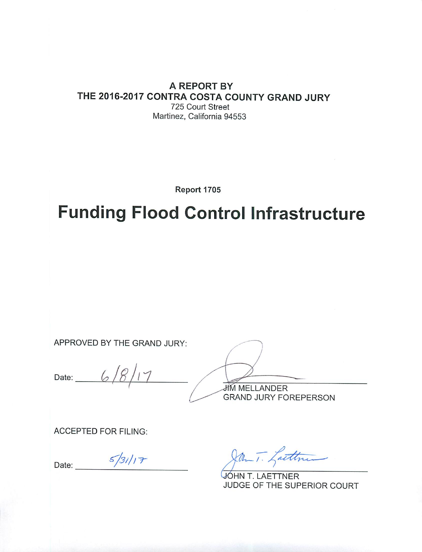#### **A REPORT BY** THE 2016-2017 CONTRA COSTA COUNTY GRAND JURY 725 Court Street Martinez, California 94553

Report 1705

# **Funding Flood Control Infrastructure**

APPROVED BY THE GRAND JURY:

6 Date:  $\overline{\phantom{a}}$ 

**JIM MELLANDER GRAND JURY FOREPERSON** 

**ACCEPTED FOR FILING:** 

 $5/31/17$ Date:

Jan T. Lattin

JÓHN T. LAETTNER JUDGE OF THE SUPERIOR COURT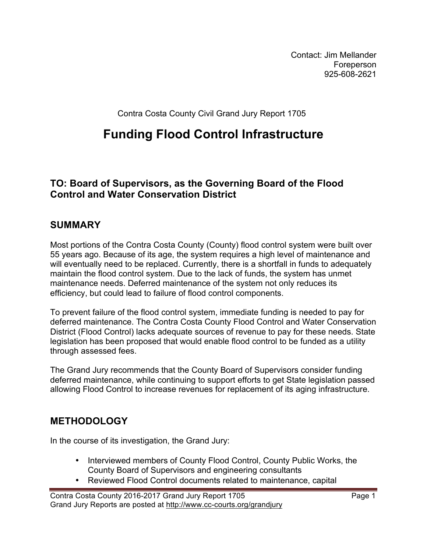Contact: Jim Mellander Foreperson 925-608-2621

Contra Costa County Civil Grand Jury Report 1705

## **Funding Flood Control Infrastructure**

#### **TO: Board of Supervisors, as the Governing Board of the Flood Control and Water Conservation District**

#### **SUMMARY**

Most portions of the Contra Costa County (County) flood control system were built over 55 years ago. Because of its age, the system requires a high level of maintenance and will eventually need to be replaced. Currently, there is a shortfall in funds to adequately maintain the flood control system. Due to the lack of funds, the system has unmet maintenance needs. Deferred maintenance of the system not only reduces its efficiency, but could lead to failure of flood control components.

To prevent failure of the flood control system, immediate funding is needed to pay for deferred maintenance. The Contra Costa County Flood Control and Water Conservation District (Flood Control) lacks adequate sources of revenue to pay for these needs. State legislation has been proposed that would enable flood control to be funded as a utility through assessed fees.

The Grand Jury recommends that the County Board of Supervisors consider funding deferred maintenance, while continuing to support efforts to get State legislation passed allowing Flood Control to increase revenues for replacement of its aging infrastructure.

#### **METHODOLOGY**

In the course of its investigation, the Grand Jury:

- Interviewed members of County Flood Control, County Public Works, the County Board of Supervisors and engineering consultants
- Reviewed Flood Control documents related to maintenance, capital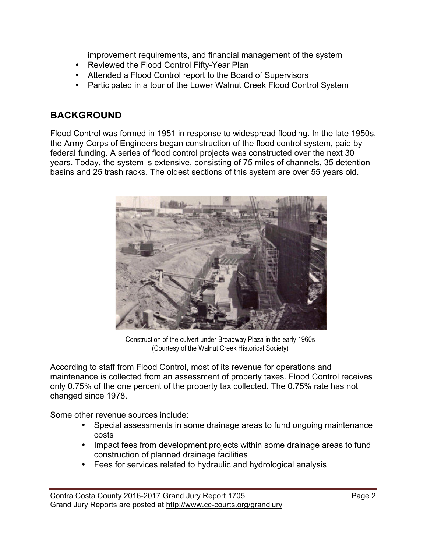improvement requirements, and financial management of the system

- Reviewed the Flood Control Fifty-Year Plan
- Attended a Flood Control report to the Board of Supervisors
- Participated in a tour of the Lower Walnut Creek Flood Control System

#### **BACKGROUND**

Flood Control was formed in 1951 in response to widespread flooding. In the late 1950s, the Army Corps of Engineers began construction of the flood control system, paid by federal funding. A series of flood control projects was constructed over the next 30 years. Today, the system is extensive, consisting of 75 miles of channels, 35 detention basins and 25 trash racks. The oldest sections of this system are over 55 years old.



 Construction of the culvert under Broadway Plaza in the early 1960s (Courtesy of the Walnut Creek Historical Society)

According to staff from Flood Control, most of its revenue for operations and maintenance is collected from an assessment of property taxes. Flood Control receives only 0.75% of the one percent of the property tax collected. The 0.75% rate has not changed since 1978.

Some other revenue sources include:

- Special assessments in some drainage areas to fund ongoing maintenance costs
- Impact fees from development projects within some drainage areas to fund construction of planned drainage facilities
- Fees for services related to hydraulic and hydrological analysis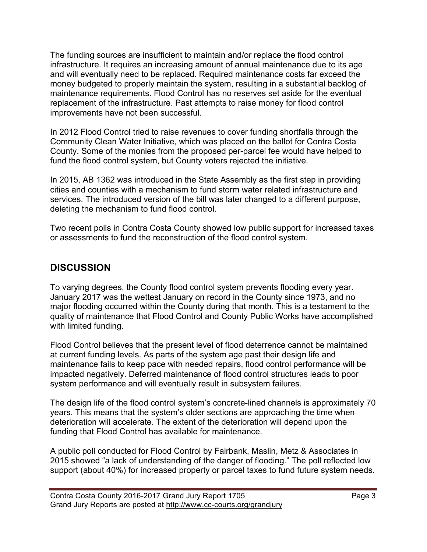The funding sources are insufficient to maintain and/or replace the flood control infrastructure. It requires an increasing amount of annual maintenance due to its age and will eventually need to be replaced. Required maintenance costs far exceed the money budgeted to properly maintain the system, resulting in a substantial backlog of maintenance requirements. Flood Control has no reserves set aside for the eventual replacement of the infrastructure. Past attempts to raise money for flood control improvements have not been successful.

In 2012 Flood Control tried to raise revenues to cover funding shortfalls through the Community Clean Water Initiative, which was placed on the ballot for Contra Costa County. Some of the monies from the proposed per-parcel fee would have helped to fund the flood control system, but County voters rejected the initiative.

In 2015, AB 1362 was introduced in the State Assembly as the first step in providing cities and counties with a mechanism to fund storm water related infrastructure and services. The introduced version of the bill was later changed to a different purpose, deleting the mechanism to fund flood control.

Two recent polls in Contra Costa County showed low public support for increased taxes or assessments to fund the reconstruction of the flood control system.

### **DISCUSSION**

To varying degrees, the County flood control system prevents flooding every year. January 2017 was the wettest January on record in the County since 1973, and no major flooding occurred within the County during that month. This is a testament to the quality of maintenance that Flood Control and County Public Works have accomplished with limited funding.

Flood Control believes that the present level of flood deterrence cannot be maintained at current funding levels. As parts of the system age past their design life and maintenance fails to keep pace with needed repairs, flood control performance will be impacted negatively. Deferred maintenance of flood control structures leads to poor system performance and will eventually result in subsystem failures.

The design life of the flood control system's concrete-lined channels is approximately 70 years. This means that the system's older sections are approaching the time when deterioration will accelerate. The extent of the deterioration will depend upon the funding that Flood Control has available for maintenance.

A public poll conducted for Flood Control by Fairbank, Maslin, Metz & Associates in 2015 showed "a lack of understanding of the danger of flooding." The poll reflected low support (about 40%) for increased property or parcel taxes to fund future system needs.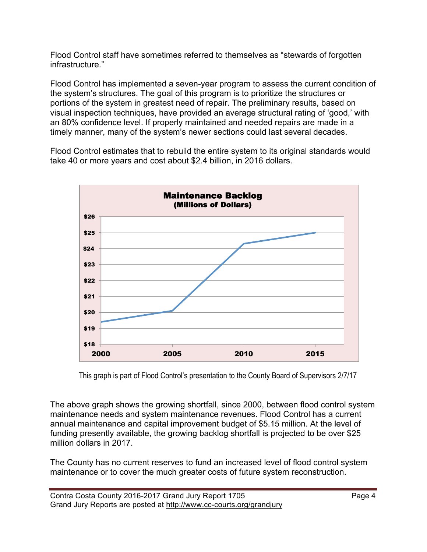Flood Control staff have sometimes referred to themselves as "stewards of forgotten infrastructure."

Flood Control has implemented a seven-year program to assess the current condition of the system's structures. The goal of this program is to prioritize the structures or portions of the system in greatest need of repair. The preliminary results, based on visual inspection techniques, have provided an average structural rating of 'good,' with an 80% confidence level. If properly maintained and needed repairs are made in a timely manner, many of the system's newer sections could last several decades.

Flood Control estimates that to rebuild the entire system to its original standards would take 40 or more years and cost about \$2.4 billion, in 2016 dollars.



This graph is part of Flood Control's presentation to the County Board of Supervisors 2/7/17

The above graph shows the growing shortfall, since 2000, between flood control system maintenance needs and system maintenance revenues. Flood Control has a current annual maintenance and capital improvement budget of \$5.15 million. At the level of funding presently available, the growing backlog shortfall is projected to be over \$25 million dollars in 2017.

The County has no current reserves to fund an increased level of flood control system maintenance or to cover the much greater costs of future system reconstruction.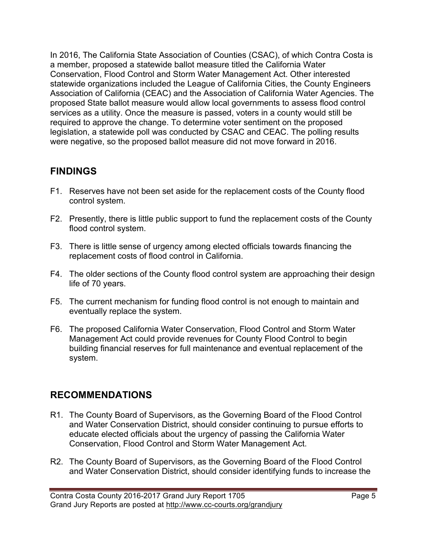In 2016, The California State Association of Counties (CSAC), of which Contra Costa is a member, proposed a statewide ballot measure titled the California Water Conservation, Flood Control and Storm Water Management Act. Other interested statewide organizations included the League of California Cities, the County Engineers Association of California (CEAC) and the Association of California Water Agencies. The proposed State ballot measure would allow local governments to assess flood control services as a utility. Once the measure is passed, voters in a county would still be required to approve the change. To determine voter sentiment on the proposed legislation, a statewide poll was conducted by CSAC and CEAC. The polling results were negative, so the proposed ballot measure did not move forward in 2016.

#### **FINDINGS**

- F1. Reserves have not been set aside for the replacement costs of the County flood control system.
- F2. Presently, there is little public support to fund the replacement costs of the County flood control system.
- F3. There is little sense of urgency among elected officials towards financing the replacement costs of flood control in California.
- F4. The older sections of the County flood control system are approaching their design life of 70 years.
- F5. The current mechanism for funding flood control is not enough to maintain and eventually replace the system.
- F6. The proposed California Water Conservation, Flood Control and Storm Water Management Act could provide revenues for County Flood Control to begin building financial reserves for full maintenance and eventual replacement of the system.

#### **RECOMMENDATIONS**

- R1. The County Board of Supervisors, as the Governing Board of the Flood Control and Water Conservation District, should consider continuing to pursue efforts to educate elected officials about the urgency of passing the California Water Conservation, Flood Control and Storm Water Management Act.
- R2. The County Board of Supervisors, as the Governing Board of the Flood Control and Water Conservation District, should consider identifying funds to increase the